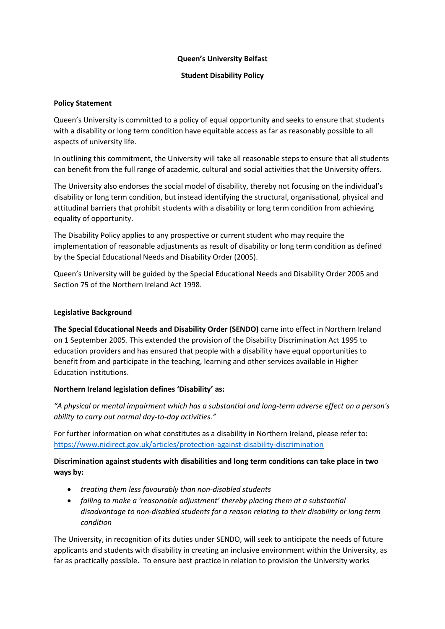## **Queen's University Belfast**

## **Student Disability Policy**

### **Policy Statement**

Queen's University is committed to a policy of equal opportunity and seeks to ensure that students with a disability or long term condition have equitable access as far as reasonably possible to all aspects of university life.

In outlining this commitment, the University will take all reasonable steps to ensure that all students can benefit from the full range of academic, cultural and social activities that the University offers.

The University also endorses the social model of disability, thereby not focusing on the individual's disability or long term condition, but instead identifying the structural, organisational, physical and attitudinal barriers that prohibit students with a disability or long term condition from achieving equality of opportunity.

The Disability Policy applies to any prospective or current student who may require the implementation of reasonable adjustments as result of disability or long term condition as defined by the Special Educational Needs and Disability Order (2005).

Queen's University will be guided by the Special Educational Needs and Disability Order 2005 and Section 75 of the Northern Ireland Act 1998.

#### **Legislative Background**

**The Special Educational Needs and Disability Order (SENDO)** came into effect in Northern Ireland on 1 September 2005. This extended the provision of the Disability Discrimination Act 1995 to education providers and has ensured that people with a disability have equal opportunities to benefit from and participate in the teaching, learning and other services available in Higher Education institutions.

# **Northern Ireland legislation defines 'Disability' as:**

*"A physical or mental impairment which has a substantial and long-term adverse effect on a person's ability to carry out normal day-to-day activities."*

For further information on what constitutes as a disability in Northern Ireland, please refer to: <https://www.nidirect.gov.uk/articles/protection-against-disability-discrimination>

# **Discrimination against students with disabilities and long term conditions can take place in two ways by:**

- *treating them less favourably than non-disabled students*
- *failing to make a 'reasonable adjustment' thereby placing them at a substantial disadvantage to non-disabled students for a reason relating to their disability or long term condition*

The University, in recognition of its duties under SENDO, will seek to anticipate the needs of future applicants and students with disability in creating an inclusive environment within the University, as far as practically possible. To ensure best practice in relation to provision the University works